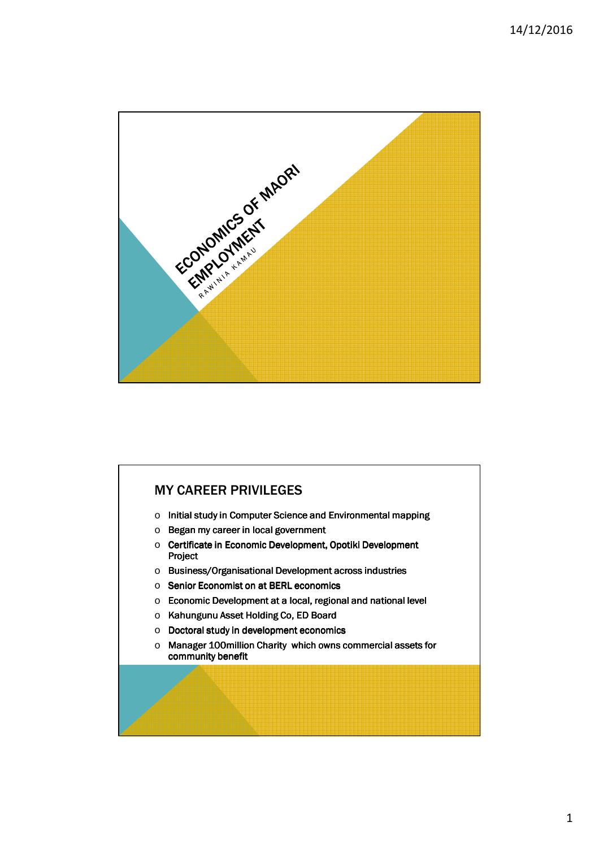

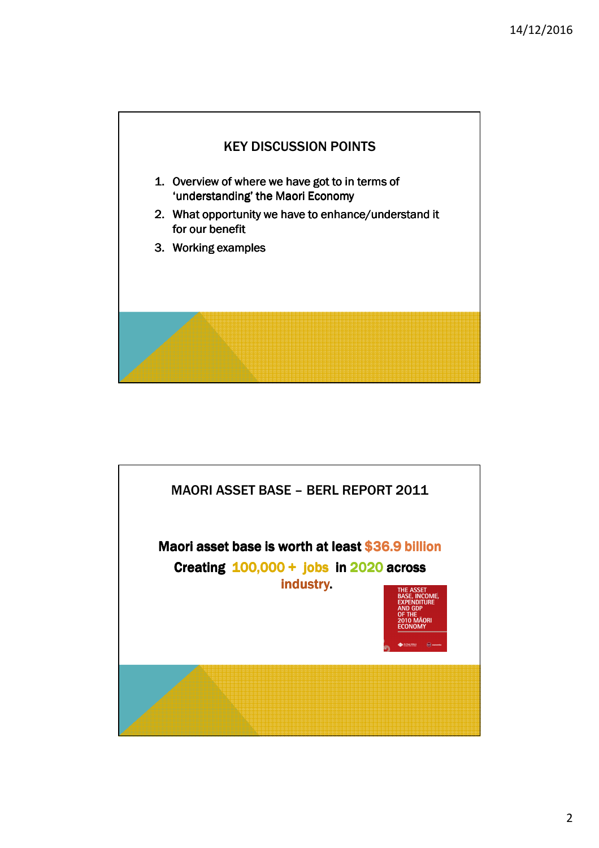

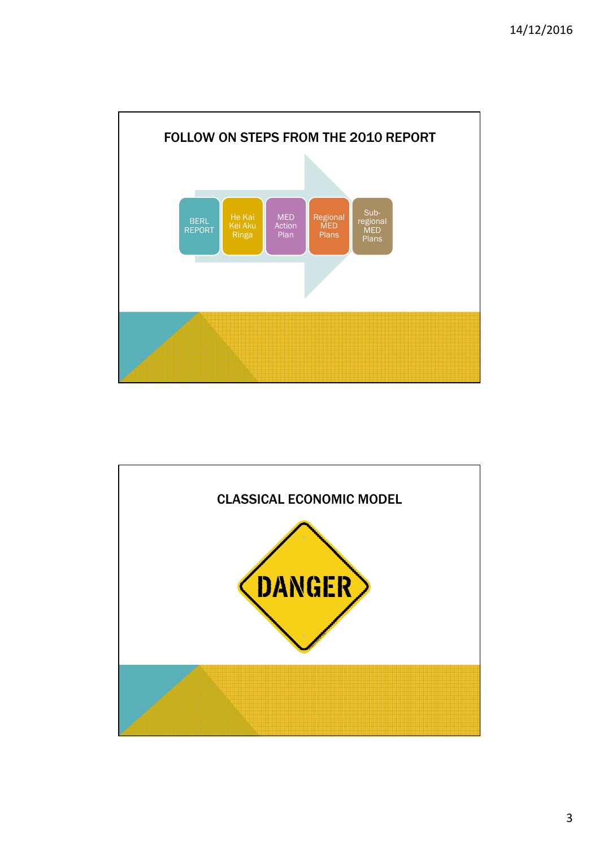

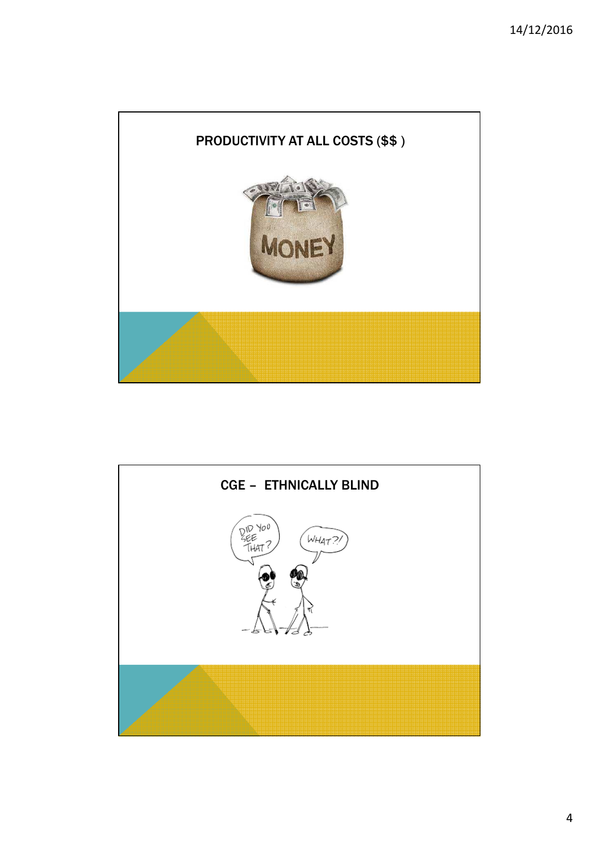

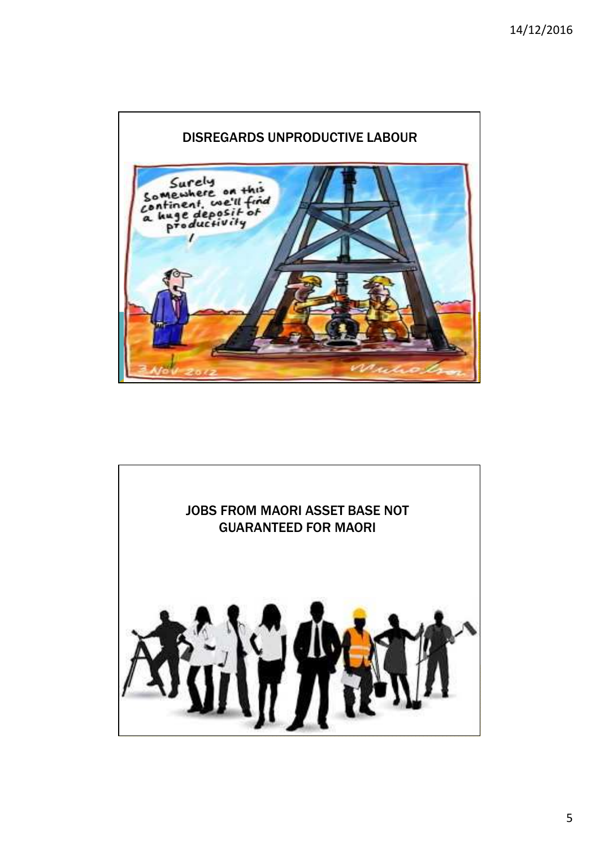

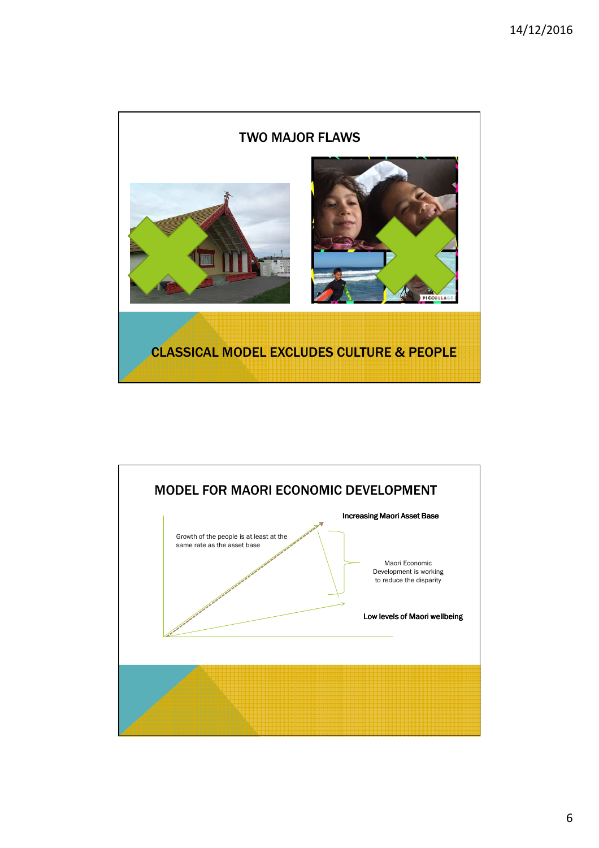

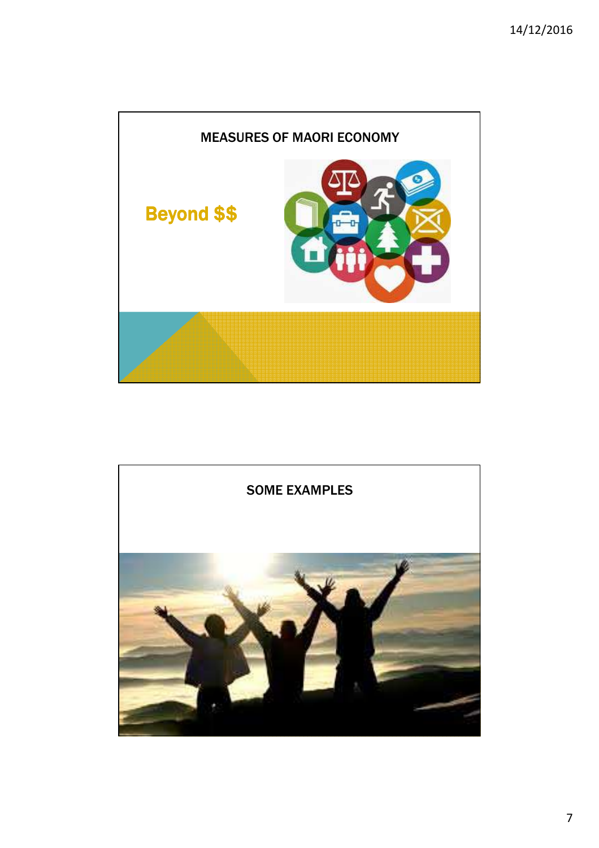

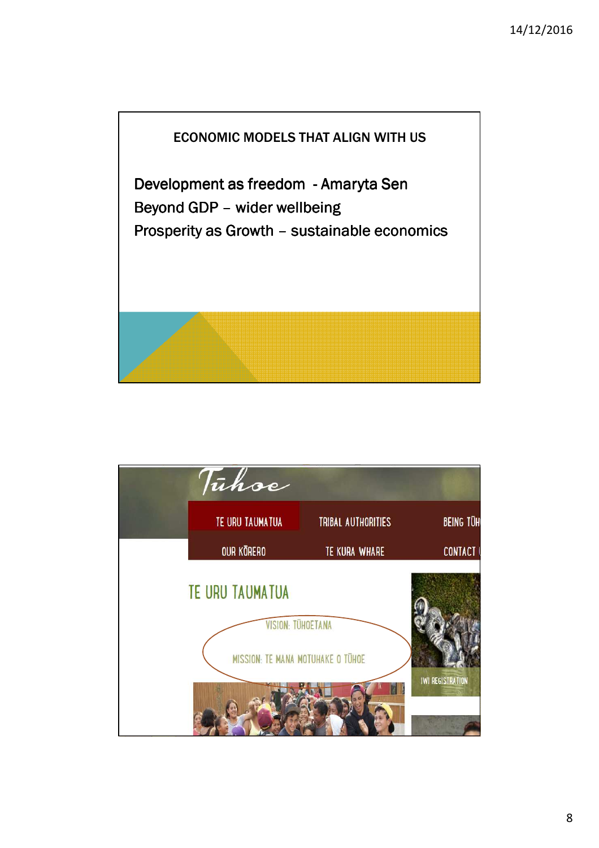

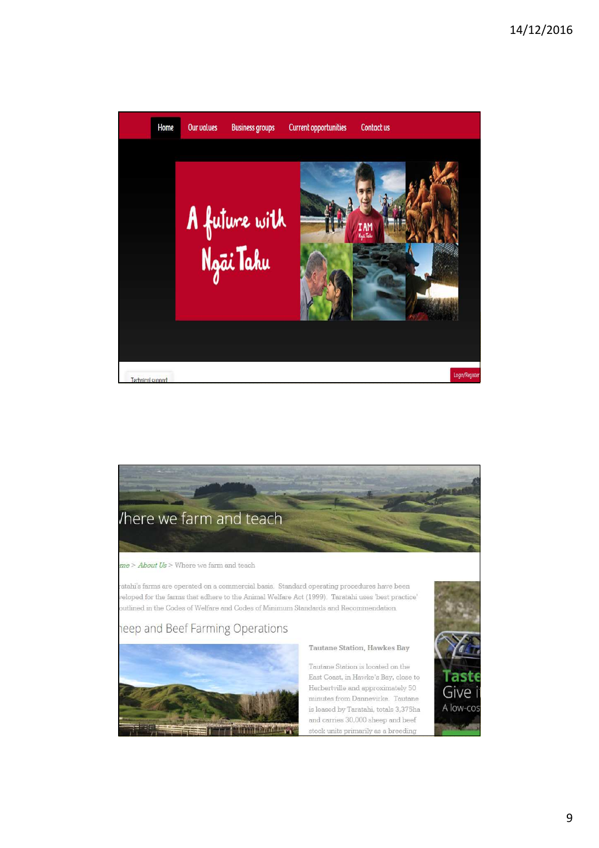

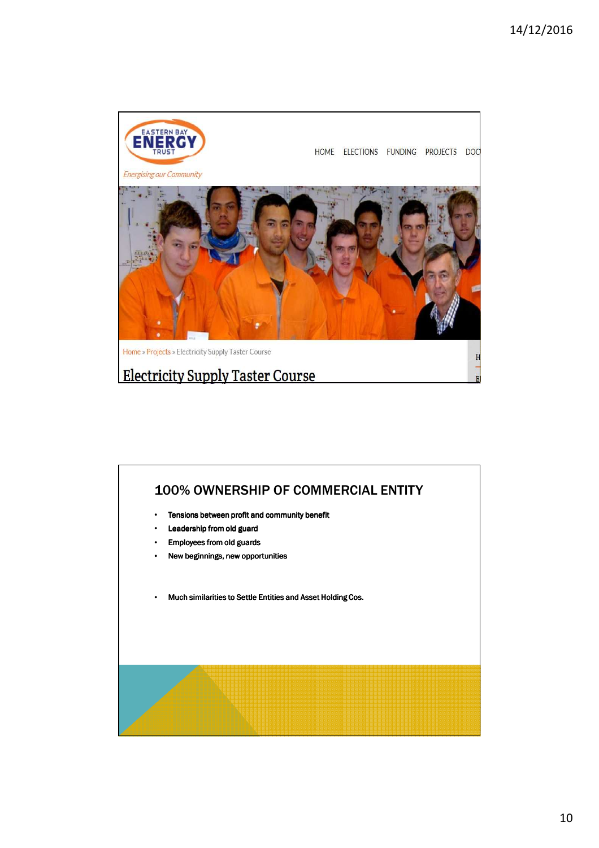

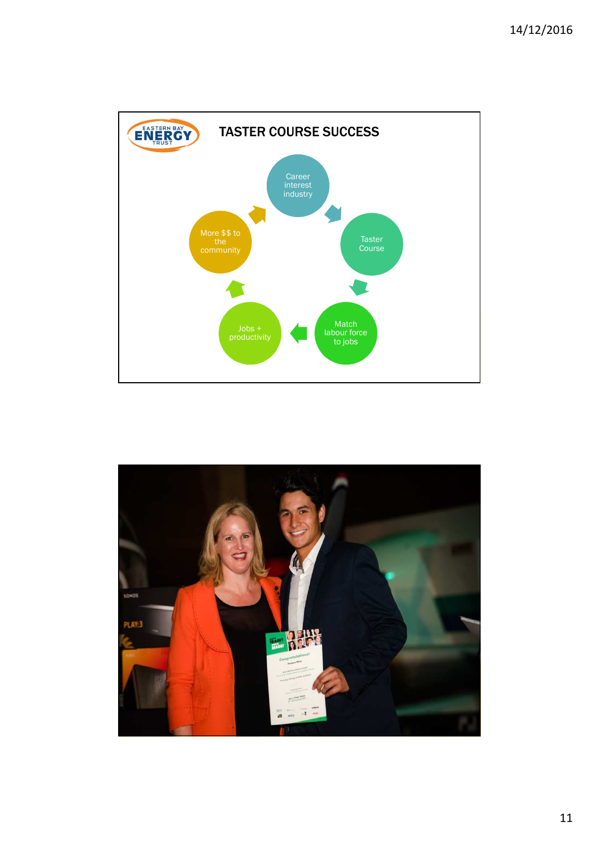